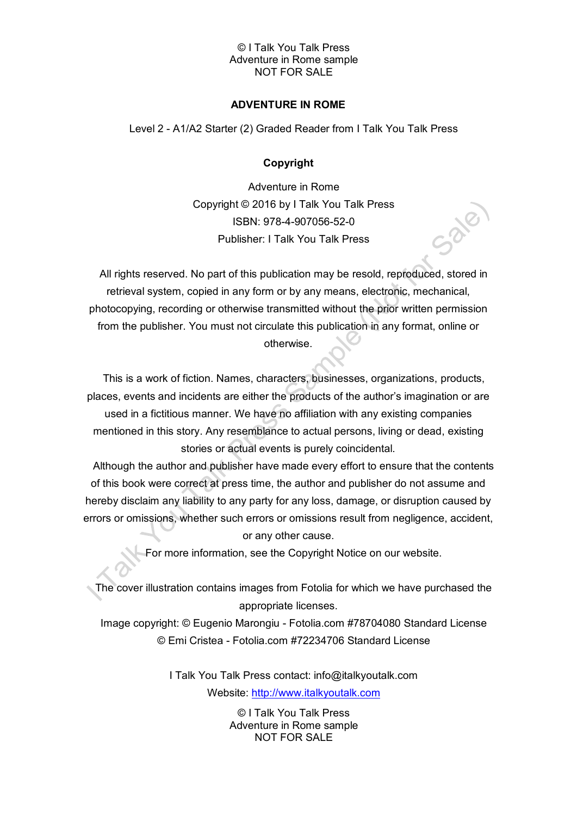### © I Talk You Talk Press Adventure in Rome sample NOT FOR SALE

## **ADVENTURE IN ROME**

Level 2 - A1/A2 Starter (2) Graded Reader from I Talk You Talk Press

## **Copyright**

Adventure in Rome Copyright © 2016 by I Talk You Talk Press ISBN: 978-4-907056-52-0 Publisher: I Talk You Talk Press

All rights reserved. No part of this publication may be resold, reproduced, stored in retrieval system, copied in any form or by any means, electronic, mechanical, photocopying, recording or otherwise transmitted without the prior written permission from the publisher. You must not circulate this publication in any format, online or otherwise.

This is a work of fiction. Names, characters, businesses, organizations, products, places, events and incidents are either the products of the author's imagination or are used in a fictitious manner. We have no affiliation with any existing companies mentioned in this story. Any resemblance to actual persons, living or dead, existing stories or actual events is purely coincidental.

Although the author and publisher have made every effort to ensure that the contents of this book were correct at press time, the author and publisher do not assume and hereby disclaim any liability to any party for any loss, damage, or disruption caused by errors or omissions, whether such errors or omissions result from negligence, accident, or any other cause.

For more information, see the Copyright Notice on our website.

The cover illustration contains images from Fotolia for which we have purchased the appropriate licenses.

Image copyright: © Eugenio Marongiu - Fotolia.com #78704080 Standard License © Emi Cristea - Fotolia.com #72234706 Standard License

> I Talk You Talk Press contact: info@italkyoutalk.com Website: [http://www.italkyoutalk.com](http://www.italkyoutalk.com/)

> > © I Talk You Talk Press Adventure in Rome sample NOT FOR SALE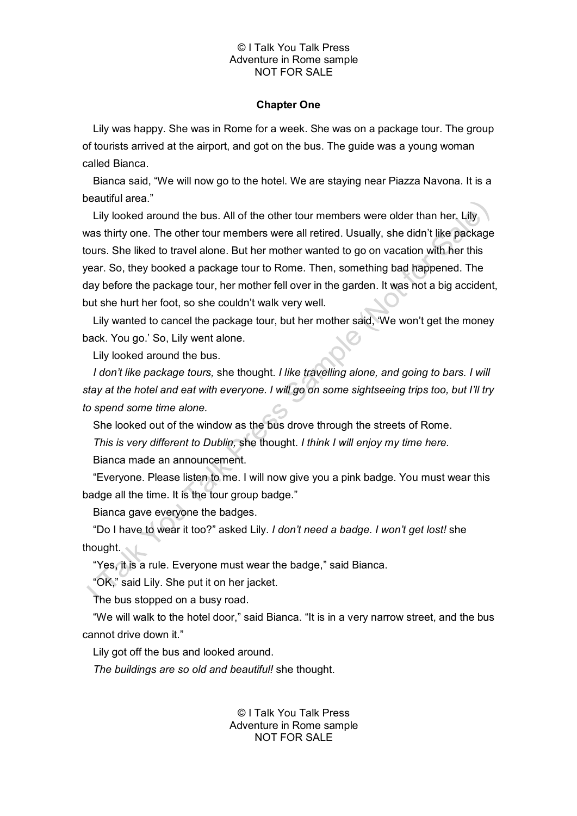### © I Talk You Talk Press Adventure in Rome sample NOT FOR SALE

#### **Chapter One**

Lily was happy. She was in Rome for a week. She was on a package tour. The group of tourists arrived at the airport, and got on the bus. The guide was a young woman called Bianca.

Bianca said, "We will now go to the hotel. We are staying near Piazza Navona. It is a beautiful area."

Lily looked around the bus. All of the other tour members were older than her. Lily was thirty one. The other tour members were all retired. Usually, she didn't like package tours. She liked to travel alone. But her mother wanted to go on vacation with her this year. So, they booked a package tour to Rome. Then, something bad happened. The day before the package tour, her mother fell over in the garden. It was not a big accident, but she hurt her foot, so she couldn't walk very well.

Lily wanted to cancel the package tour, but her mother said, 'We won't get the money back. You go.' So, Lily went alone.

Lily looked around the bus.

*I don't like package tours,* she thought. *I like travelling alone, and going to bars. I will stay at the hotel and eat with everyone. I will go on some sightseeing trips too, but I'll try to spend some time alone.*

She looked out of the window as the bus drove through the streets of Rome.

*This is very different to Dublin,* she thought. *I think I will enjoy my time here.*

Bianca made an announcement.

"Everyone. Please listen to me. I will now give you a pink badge. You must wear this badge all the time. It is the tour group badge."

Bianca gave everyone the badges.

"Do I have to wear it too?" asked Lily. *I don't need a badge. I won't get lost!* she thought.

"Yes, it is a rule. Everyone must wear the badge," said Bianca.

"OK," said Lily. She put it on her jacket.

The bus stopped on a busy road.

"We will walk to the hotel door," said Bianca. "It is in a very narrow street, and the bus cannot drive down it."

Lily got off the bus and looked around.

*The buildings are so old and beautiful!* she thought.

© I Talk You Talk Press Adventure in Rome sample NOT FOR SALE